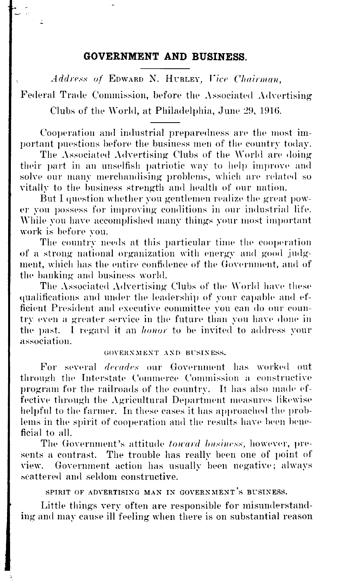### **GOVERNMENT AND BUSINESS.**

Address of EDWARD N. HURLEY, Vice Chairman,

Federal Trade Commission, before the Associated Advertising Clubs of the World, at Philadelphia, June 29, 1916.

Cooperation and industrial preparedness are the most important puestions before the business men of the country today.

The Associated Advertising Clubs of the World are doing their part in an unselfish patriotic way to help improve and solve our many merchandising problems, which are related so vitally to the business strength and health of our nation.

But I question whether you gentlemen realize the great power you possess for improving conditions in our industrial life. While you have accomplished many things your most important work is before you.

The country needs at this particular time the cooperation of a strong national organization with energy and good judgment, which has the entire confidence of the Government, and of the banking and business world.

The Associated Advertising Clubs of the World have these qualifications and under the leadership of your capable and efficient President and executive committee you can do our country even a greater service in the future than you have done in the past. 1 regard it an *honor* to be invited to address your association.

### GOVERNMENT AND BUSINESS.

For several *decades* our Government has worked out through the Interstate Commerce Commission a constructive program for the railroads of the country. It has also made effective through the Agricultural Department measures likewise helpful to the farmer. In these cases it has approached the problems in the spirit of cooperation and the results have been beneficial to all.

The Government's attitude *toward business,* however, presents a contrast. The trouble has really been one of point of view. Government action has usually been negative; always scattered and seldom constructive.

SPIRIT OF ADVERTISING MAN IN GOVERNMENT'S BUSINESS.

Little things very often are responsible for misunderstanding and may cause ill feeling when there is on substantial reason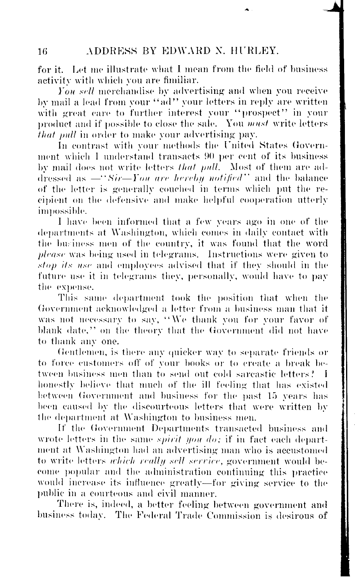for it. Let me illustrate what I mean from the field of business activity with which you are fimiliar.

*You sell* merchandise by advertising and when you receive by mail a lead from your "ad" your letters in reply are written with great care to further interest your "prospect" in your product and if possible to close the sale. You *must* write letters *that pull* in order to make your advertising pay.

In contrast with your methods the United States Government which 1 understand transacts 90 per cent of its business by mail does not write letters *that pull.* Most of them are addressed as —*"Sir*—*Y ON arc hereby notified"* and the balance of the letter is generally couched in terms which put the recipient on the defensive and make helpful cooperation utterly impossible.

I have been informed that a few years ago in one of the departments at Washington, which comes in daily contact with the business men of the country, it was found that the word *please* was being used in telegrams. Instructions were given to *stop its use* and employees advised that if they should in the future use it in telegrams they, personally, would have to pay the expense.

This same department took the position that when the Government acknowledged a letter from a business man that it was not necessary to say, "We thank you for your favor of blank date," on the theory that the Government did not have to thank any one.

Gentlemen, is there any quicker way to separate friends or to force customers off of your books or to create a break between business men than to send out cold sarcastic letters? I honestly believe that much of the ill feeling that has existed between Government and business for the past 15 years has been caused by the discourteous letters that were written by the department at Washington to business men.

If the Government Departments transacted business and wrote letters in the same *spirit you do;* if in fact each department at Washington had an advertising man who is accustomed to write letters *which really sell service*, government would become popular and the administration continuing this practice would increase its influence greatly—for giving service to the public in a courteous and civil manner.

There is, indeed, a better feeling between government and business today. The Federal Trade Commission is desirous of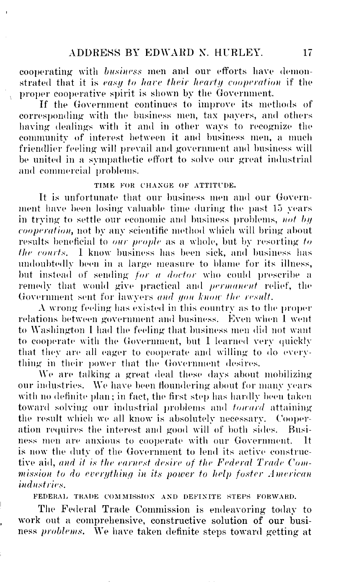cooperating with *business* men and our efforts have demonstrated that it is *easy to have their hearty cooperation* if the proper cooperative spirit is shown by the Government.

If the Government continues to improve its methods of corresponding with the business men, tax payers, and others having dealings with it and in other ways to recognize the community of interest between it and business men , a much friendlier feeling will prevail and government and business will be united in a sympathetic effort to solve our great industrial and commercial problems.

## TIME FOR CHANGE OF ATTITUDE.

It is unfortunate that our business men and our Government have been losing valuable time during the past 15 years in trying to settle our economic and business problems, *not by cooperation,* not by any scientific method which will bring about results beneficial to *our people* as a whole, but by resorting *to flic courts.* 1 know business has been sick, and business has undoubtedly been in a large measure to blame for its illness, but instead of sending *for a doctor* who could prescribe a remedy that would give practical and *permanent* relief, the Government sent for lawyers and you know the result.

A wrong feeling has existed in this country as to the proper relations between government and business. Even when 1 went to Washington I had the feeling that business men did not want to cooperate with the Government, but 1 learned very quickly that they are all eager to cooperate and willing to do everything in their power that the Government desires.

We are talking a great deal these days about mobilizing our industries. We have been floundering about for many years with no definite plan; in fact, the first step has hardly been taken toward solving our industrial problems and *toward* attaining the result which we all know is absolutely necessary. Cooperation requires the interest and good will of both sides. Business men are anxious to cooperate with our Government. It is now the duty of the Government to lend its active constructive aid, *and it is the earnest desire of the Federal Trade Commission to do everything in its power to help foster American industries.*

FEDERAL TRADE COMMISSION AND DEFINITE STEPS FORWARD.

The Federal Trade Commission is endeavoring today to work out a comprehensive, constructive solution of our business *problems*. We have taken definite steps toward getting at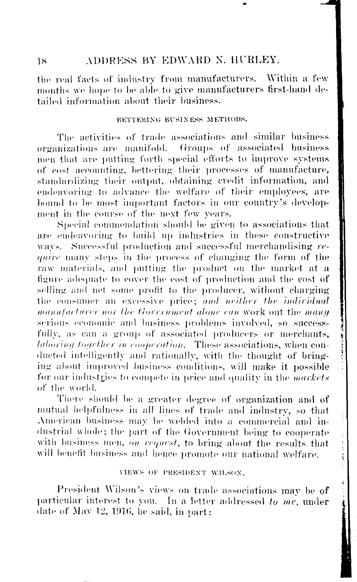# 18 ADDRESS BY EDWARD N. HURLEY.

the real facts of industry from manufacturers. Within a few months we hope to be able to give manufacturers first-hand detailed information about their business.

#### BETTERING BUSINESS METHODS.

The activities of trade associations and similar business organizations are manifold. Groups of associated business men that are putting forth special efforts to improve systems of cost accounting, bettering their processes of manufacture, standardizing their output, obtaining credit information, and endeavoring to advance the welfare of their employees, are bound to be most important factors in our country's development in the course of the next few years.

Special commendation should be given to associations that are endeavoring to build up industries in these constructive ways. Successful production and successful merchandising *rc quire* many steps in the process of changing the form of the raw materials, and putting the product on the market at a figure adequate to cover the cost of production and the cost of selling and net some profit to the producer, without charging the consumer an excessive price; and neither the individual *manufacturer nor the Government alone can* work out the *manu* serious economic and business problems involved, so successfully, as can a group of associated producers or merchants, *laboring together in cooperation.* These associations, when conducted intelligently and rationally, with the thought of bringing about improved business conditions, will make it possible for our industries to compete in price and quality in the *markets* of the world.

There should be a greater degree of organization and of mutual helpfulness in all lines of trade and industry, so that American business may be welded into a commercial and industrial whole; the part of the Government being to cooperate with business men, *on request*, to bring about the results that will benefit business and hence promote our national welfare.

#### VIEWS OF PHESIDENT WILSON.

President Wilson's views on trade associations may be of particular interest to you. In a letter addressed *to me,* under date of May 12, 1916, he said, in part: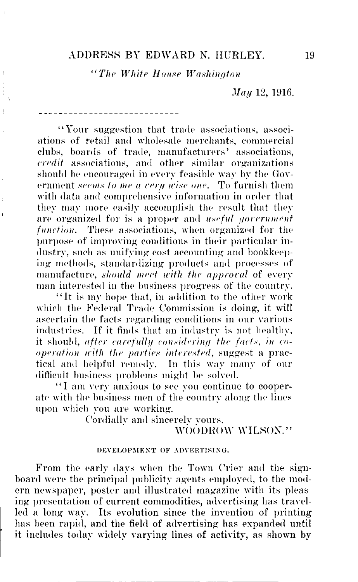## ADDRESS BY EDWARD N. HURLEY 19

*"The White House Washington*

Ì

 $\frac{1}{2}$ 

Ï

*May* 12, 1916.

"Your suggestion that trade associations, associations of retail and wholesale merchants, commercial clubs, boards of trade, manufacturers' associations, *credit* associations, and other similar organizations should be encouraged in every feasible way by the Government *seems to me a very wise one.* To furnish them with data and comprehensive information in order that they may more easily accomplish the result that they are organized for is a proper and *useful gorernmenf function.* These associations, when organized for the purpose of improving conditions in their particular industry, such as unifying cost accounting and bookkeeping methods, standardizing products and processes of manufacture, *should meet with the approval* of every man interested in the business progress of the country.

"It is my hope that, in addition to the other work which the Federal Trade Commission is doing, it will ascertain the facts regarding conditions in our various industries. If it finds that an industry is not healthy, it should, *after carefully considering the facts, in cooperation with the parties interested,* suggest a practical and helpful remedy. In this way many of our difficult business problems might be solved.

"I am very anxious to see you continue to cooperate with the business men of the country along the lines upon which you are working.

Cordially and sincerely yours,

# WOODROW WILSON."

### DEVELOPMENT OF ADVERTISING.

From the early days when the Town Crier and the signboard were the principal publicity agents employed, to the modern newspaper, poster and illustrated magazine with its pleasing presentation of current commodities, advertising has travelled a long way. Its evolution since the invention of printing has been rapid, and the field of advertising has expanded until it includes today widely varying lines of activity, as shown by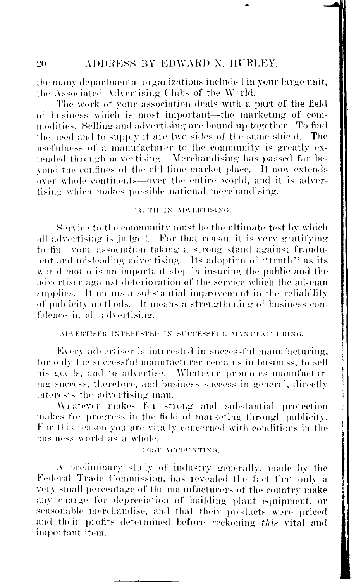the many departmental organizations included in your large unit, the Associated Advertising Clubs of the World.

The work of your association deals with a part of the field of business which is most important—the marketing of commodities. Selling and advertising are bound up together. To find the need and to supply it are two sides of the same shield. The usefulness of a manufacturer to the community is greatly extended through advertising. Merchandising has passed far beyond the confines of the old time market place. It now extends over whole continents—over the entire world, and it is advertising which makes possible national merchandising.

### TRUTH IN ADVERTISING.

Service to the community must be the ultimate test by which all advertising is judged. For that reason it is very gratifying to find your association taking a strong stand against fraudulent and misleading advertising. Its adoption of "truth" as its world motto is an important step in insuring the public and the advertiser against deterioration of the service which the ad-man supplies. It means a substantial improvement in the reliability of publicity methods. It means a strengthening of business confidence in all advertising.

### ADVERTISER INTERESTED IN SUCCESSFUL MANUFACTURING.

Every advertiser is interested in successful manufacturing, for only the successful manufacturer remains in business, to sell his goods, and to advertise. Whatever promotes manufacturing success, therefore, and business success in general, directly interests the advertising man.

Whatever makes for strong and substantial protection makes foi progress in the field of marketing through publicity. For this reason you are vitally concerned with conditions in the business world as a whole.

## COST ACCOUNTING.

A preliminary study of industry generally, made by the Federal Trade Commission, has revealed the fact that only a very small percentage of the manufacturers of the country make any chaige for depreciation of building plant equipment, or seasonable merchandise, and that their products were priced and their profits determined before reckoning *this* vital and important item.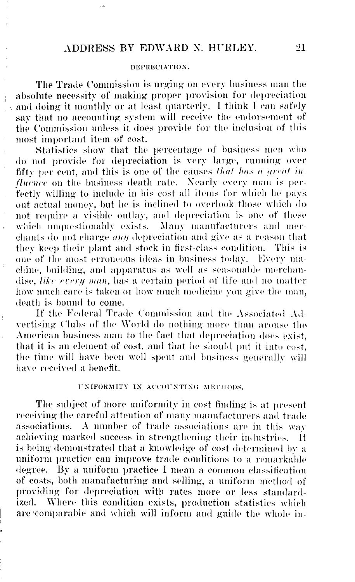#### DEPRECIATION.

The Trade Commission is urging on every business man the absolute necessity of making proper provision for depreciation and doing it **monthly** or at least quarterly. 1 think I can safely say that no accounting system will receive the endorsement of the Commission unless it does provide for the inclusion of this most important item of cost.

Statistics show that the percentage of business men who do not provide for depreciation is very large, running over fifty per cent, and this is one of the causes *that has a great influence* on the business death rate. Nearly every man is perfectly willing to include in his cost all items for which he pays out actual money, but he is inclined to overlook those which do not require a visible outlay, and depreciation is one of these which unquestionably exists. Many manufacturers and merchants do not charge *an//* depreciation and give as a reason that they keep their plant and stock in first-class condition. This is one of the most erroneous ideas in business today. Every machine, building, and apparatus as well as seasonable merchandise, *like eveii) man,* has a certain period of life and no matter how much care is taken or how much medicine you give the man, death is bound to come.

If the Federal Trade Commission and the Associated Advertising Clubs of the World do nothing more than arouse the American business man to the fact that depreciation does exist, that it is an element of cost, and that he should put it into cost, the time will have been well spent and business generally will have received a benefit.

### UNIFORMITY IN ACCOUNTING METHODS.

The subject of more uniformity in cost finding is at present receiving the careful attention of many manufacturers and trade associations. A number of trade associations are in this way achieving marked success in strengthening their industries. is being demonstrated that a knowledge of cost determined by a uniform practice can improve trade conditions to a remarkable degree. By a uniform practice I mean a common classification of costs, both manufacturing and selling, a uniform method of providing for depreciation with rates more or less standard-<br>ized. Where this condition exists, production statistics which Where this condition exists, production statistics which are'comparable and which will inform and guide the whole in-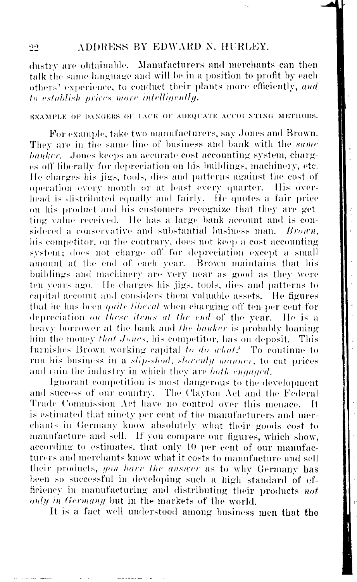# 22 ADDRESS BY EDWARD N. HURLEY.

dustry arc obtainable. Manufacturers and merchants can **then** talk the same language and will be in a position to profit by each others' experience, to conduct their plants more efficiently, *and to establish prices more intelligently.* 

### EXAMPLE OK DANGERS OK LACK OK ADEQUATE ACCOUNTING METHODS.

operation every month or at least every quarter. His overon his product and his customers recognize that they are get-For example, take two manufacturers, say .Jones and Brown. They are in the same line of business and bank with the *same banker.* .Jones keeps an accurate cost accounting system, charges off liberally for depreciation on his buildings, machinery, etc. He charges his jigs, tools, dies and patterns against the cost of head is distributed equally and fairly. He quotes a fair price ting value received. He has a large bank account and is considered a conservative and substantial business man. *Brown*, his competitor, on the contrary, does not keep a cost accounting system; does not charge off for depreciation except a small amount at the end of each year. Brown maintains that his buildings and machinery are very near as good as they were ten years ago. He charges his jigs, tools, dies and patterns to capital account and considers them valuable assets. He figures that he has been *quite liberal* when charging off ten per cent for depreciation on these items at the end of the year. He is a heavy borrower at the bank and *the banker* is probably loaning him the money *that Jones,* his competitor, has on deposit. This furnishes Brown working capital to do *what?* To continue to run his business in a *slip-shod, slorenly manner*, to cut prices and ruin the industry in which they are *both engaged*.

Ignorant competition is most dangerous to the development and success of our country. The Clayton Act and the Federal Trade Commission Act have no control over this menace. It is estimated that ninety per cent of the manufacturers and merchants in Germany know absolutely what their goods cost to manufacture and sell. If you compare our figures, which show, according to estimates, that only 10 per cent of our manufacturers and merchants know what it costs to manufacture and sell their products, *you hare the answer* as to why Germany has been so successful in developing such a high standard of efficiency in manufacturing and distributing their products *not only in Germany* but in the markets of the world.

It is a fact well understood among business men that the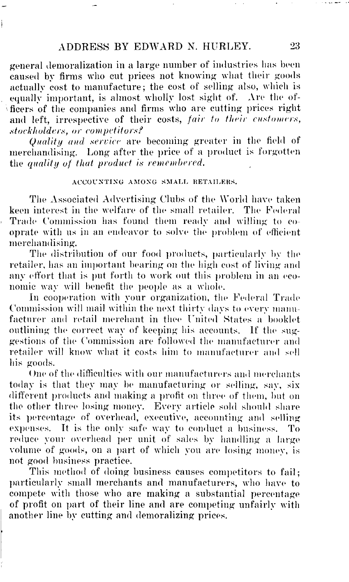general demoralization in a large number of industries has been caused by firms who cut prices not knowing what their goods actually cost to manufacture; the cost of selling also, which is equally important, is almost wholly lost sight of. Are the officers of the companies and firms who are cutting prices right and left, irrespective of their costs, *fair to their customers, stockholders, or competitors?*

*Quality and service* are becoming greater in the field of merchandising. Long after the price of a product is forgotten the *quality of that product is remembered.*

#### ACCOUNTING AMONG SMALL RETAILEKS.

The Associated Advertising Clubs of the World have taken keen interest in the welfare of the small retailer. The Federal Trade Commission has found them ready and willing to cooprate with us in an endeavor to solve the problem of efficient merchandising.

The distribution of our food products, particularly by the retailer, has an important bearing on the high cost of living and any effort that is put forth to work out this problem in an economic way will benefit the people as a whole.

In cooperation with your organization, the Federal Trade Commission will mail within the next thirty days to every manu facturer and retail merchant in thee United States a booklet outlining the correct way of keeping his accounts. If the suggestions of the Commission are followed the manufacturer and retailer will know what it costs him to manufacturer and sell his goods.

One of the difficulties with our manufacturers and merchants today is that they may be manufacturing or selling, say, six different products and making a profit on three of them, but on the other three losing money. Every article sold should share its percentage of overhead, executive, accounting and selling expenses. It is the only safe way to conduct a business. To reduce your overhead per unit of sales by handling a large volume of goods, on a part of which you are losing money, is not good business practice.

This method of doing business causes competitors to fail; particularly small merchants and manufacturers, who have to compete with those who are making a substantial percentage of profit on part of their line and are competing unfairly with another line by cutting and demoralizing prices.